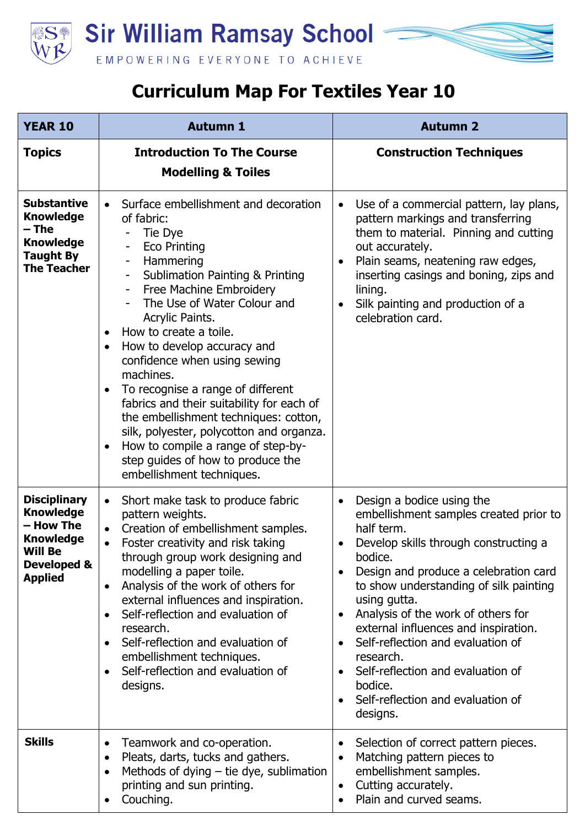

## **Curriculum Map For Textiles Year 10**

| <b>YEAR 10</b>                                                                                                              | <b>Autumn 1</b>                                                                                                                                                                                                                                                                                                                                                                                                                                                                                                                                                                                                                                                                                   | <b>Autumn 2</b>                                                                                                                                                                                                                                                                                                                                                                                                                                                                                                                            |
|-----------------------------------------------------------------------------------------------------------------------------|---------------------------------------------------------------------------------------------------------------------------------------------------------------------------------------------------------------------------------------------------------------------------------------------------------------------------------------------------------------------------------------------------------------------------------------------------------------------------------------------------------------------------------------------------------------------------------------------------------------------------------------------------------------------------------------------------|--------------------------------------------------------------------------------------------------------------------------------------------------------------------------------------------------------------------------------------------------------------------------------------------------------------------------------------------------------------------------------------------------------------------------------------------------------------------------------------------------------------------------------------------|
| <b>Topics</b>                                                                                                               | <b>Introduction To The Course</b><br><b>Modelling &amp; Toiles</b>                                                                                                                                                                                                                                                                                                                                                                                                                                                                                                                                                                                                                                | <b>Construction Techniques</b>                                                                                                                                                                                                                                                                                                                                                                                                                                                                                                             |
| <b>Substantive</b><br><b>Knowledge</b><br>– The<br><b>Knowledge</b><br><b>Taught By</b><br><b>The Teacher</b>               | Surface embellishment and decoration<br>of fabric:<br>Tie Dye<br><b>Eco Printing</b><br>Hammering<br><b>Sublimation Painting &amp; Printing</b><br>Free Machine Embroidery<br>$\overline{\phantom{a}}$<br>The Use of Water Colour and<br>Acrylic Paints.<br>How to create a toile.<br>$\bullet$<br>How to develop accuracy and<br>$\bullet$<br>confidence when using sewing<br>machines.<br>To recognise a range of different<br>$\bullet$<br>fabrics and their suitability for each of<br>the embellishment techniques: cotton,<br>silk, polyester, polycotton and organza.<br>How to compile a range of step-by-<br>$\bullet$<br>step guides of how to produce the<br>embellishment techniques. | Use of a commercial pattern, lay plans,<br>$\bullet$<br>pattern markings and transferring<br>them to material. Pinning and cutting<br>out accurately.<br>Plain seams, neatening raw edges,<br>$\bullet$<br>inserting casings and boning, zips and<br>lining.<br>Silk painting and production of a<br>celebration card.                                                                                                                                                                                                                     |
| <b>Disciplinary</b><br><b>Knowledge</b><br>- How The<br><b>Knowledge</b><br><b>Will Be</b><br>Developed &<br><b>Applied</b> | Short make task to produce fabric<br>$\bullet$<br>pattern weights.<br>Creation of embellishment samples.<br>Foster creativity and risk taking<br>$\bullet$<br>through group work designing and<br>modelling a paper toile.<br>Analysis of the work of others for<br>$\bullet$<br>external influences and inspiration.<br>Self-reflection and evaluation of<br>$\bullet$<br>research.<br>Self-reflection and evaluation of<br>$\bullet$<br>embellishment techniques.<br>Self-reflection and evaluation of<br>designs.                                                                                                                                                                              | Design a bodice using the<br>$\bullet$<br>embellishment samples created prior to<br>half term.<br>Develop skills through constructing a<br>bodice.<br>Design and produce a celebration card<br>$\bullet$<br>to show understanding of silk painting<br>using gutta.<br>Analysis of the work of others for<br>$\bullet$<br>external influences and inspiration.<br>Self-reflection and evaluation of<br>$\bullet$<br>research.<br>Self-reflection and evaluation of<br>$\bullet$<br>bodice.<br>Self-reflection and evaluation of<br>designs. |
| <b>Skills</b>                                                                                                               | Teamwork and co-operation.<br>$\bullet$<br>Pleats, darts, tucks and gathers.<br>$\bullet$<br>Methods of dying $-$ tie dye, sublimation<br>$\bullet$<br>printing and sun printing.<br>Couching.                                                                                                                                                                                                                                                                                                                                                                                                                                                                                                    | Selection of correct pattern pieces.<br>$\bullet$<br>Matching pattern pieces to<br>$\bullet$<br>embellishment samples.<br>Cutting accurately.<br>$\bullet$<br>Plain and curved seams.                                                                                                                                                                                                                                                                                                                                                      |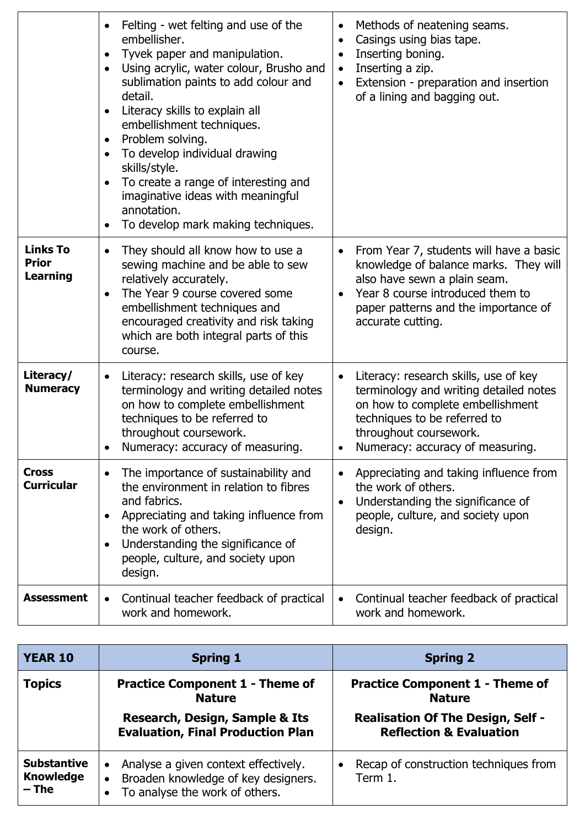|                                             | Felting - wet felting and use of the<br>embellisher.<br>Tyvek paper and manipulation.<br>$\bullet$<br>Using acrylic, water colour, Brusho and<br>$\bullet$<br>sublimation paints to add colour and<br>detail.<br>Literacy skills to explain all<br>embellishment techniques.<br>Problem solving.<br>$\bullet$<br>To develop individual drawing<br>$\bullet$<br>skills/style.<br>To create a range of interesting and<br>imaginative ideas with meaningful<br>annotation.<br>To develop mark making techniques.<br>$\bullet$ | Methods of neatening seams.<br>$\bullet$<br>Casings using bias tape.<br>$\bullet$<br>Inserting boning.<br>$\bullet$<br>Inserting a zip.<br>$\bullet$<br>Extension - preparation and insertion<br>$\bullet$<br>of a lining and bagging out. |
|---------------------------------------------|-----------------------------------------------------------------------------------------------------------------------------------------------------------------------------------------------------------------------------------------------------------------------------------------------------------------------------------------------------------------------------------------------------------------------------------------------------------------------------------------------------------------------------|--------------------------------------------------------------------------------------------------------------------------------------------------------------------------------------------------------------------------------------------|
| <b>Links To</b><br><b>Prior</b><br>Learning | They should all know how to use a<br>sewing machine and be able to sew<br>relatively accurately.<br>The Year 9 course covered some<br>embellishment techniques and<br>encouraged creativity and risk taking<br>which are both integral parts of this<br>course.                                                                                                                                                                                                                                                             | From Year 7, students will have a basic<br>knowledge of balance marks. They will<br>also have sewn a plain seam.<br>Year 8 course introduced them to<br>paper patterns and the importance of<br>accurate cutting.                          |
| Literacy/<br><b>Numeracy</b>                | Literacy: research skills, use of key<br>$\bullet$<br>terminology and writing detailed notes<br>on how to complete embellishment<br>techniques to be referred to<br>throughout coursework.<br>Numeracy: accuracy of measuring.                                                                                                                                                                                                                                                                                              | Literacy: research skills, use of key<br>$\bullet$<br>terminology and writing detailed notes<br>on how to complete embellishment<br>techniques to be referred to<br>throughout coursework.<br>Numeracy: accuracy of measuring.             |
| <b>Cross</b><br><b>Curricular</b>           | The importance of sustainability and<br>the environment in relation to fibres<br>and fabrics.<br>Appreciating and taking influence from<br>the work of others.<br>Understanding the significance of<br>people, culture, and society upon<br>design.                                                                                                                                                                                                                                                                         | Appreciating and taking influence from<br>$\bullet$<br>the work of others.<br>Understanding the significance of<br>$\bullet$<br>people, culture, and society upon<br>design.                                                               |
| <b>Assessment</b>                           | Continual teacher feedback of practical<br>$\bullet$<br>work and homework.                                                                                                                                                                                                                                                                                                                                                                                                                                                  | Continual teacher feedback of practical<br>$\bullet$<br>work and homework.                                                                                                                                                                 |

| <b>YEAR 10</b>                                    | <b>Spring 1</b>                                                                                                                                  | <b>Spring 2</b>                                                                                                                           |
|---------------------------------------------------|--------------------------------------------------------------------------------------------------------------------------------------------------|-------------------------------------------------------------------------------------------------------------------------------------------|
| <b>Topics</b>                                     | <b>Practice Component 1 - Theme of</b><br><b>Nature</b><br><b>Research, Design, Sample &amp; Its</b><br><b>Evaluation, Final Production Plan</b> | <b>Practice Component 1 - Theme of</b><br><b>Nature</b><br><b>Realisation Of The Design, Self -</b><br><b>Reflection &amp; Evaluation</b> |
| <b>Substantive</b><br><b>Knowledge</b><br>$-$ The | Analyse a given context effectively.<br>Broaden knowledge of key designers.<br>$\bullet$<br>To analyse the work of others.                       | Recap of construction techniques from<br>Term 1.                                                                                          |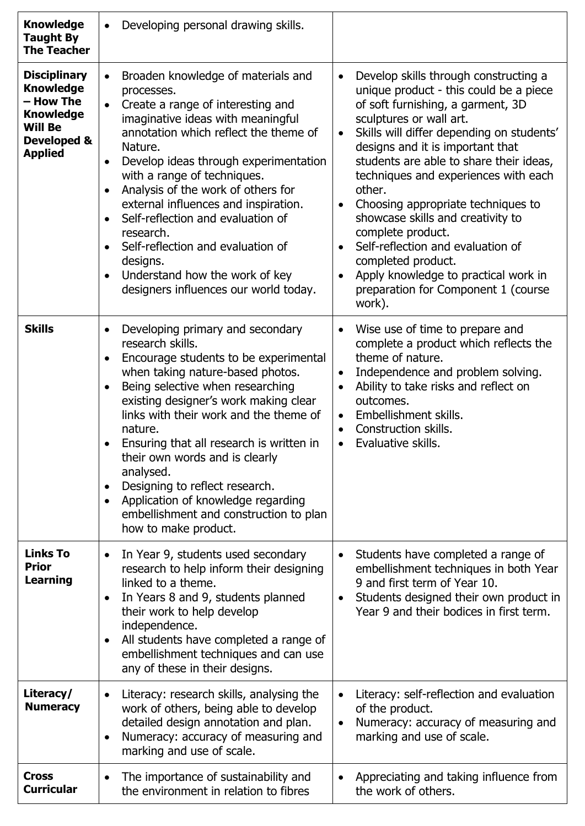| <b>Knowledge</b><br><b>Taught By</b><br><b>The Teacher</b>                                                                             | Developing personal drawing skills.                                                                                                                                                                                                                                                                                                                                                                                                                                                                                                                                       |                                                                                                                                                                                                                                                                                                                                                                                                                                                                                                                                                                                                                                                    |
|----------------------------------------------------------------------------------------------------------------------------------------|---------------------------------------------------------------------------------------------------------------------------------------------------------------------------------------------------------------------------------------------------------------------------------------------------------------------------------------------------------------------------------------------------------------------------------------------------------------------------------------------------------------------------------------------------------------------------|----------------------------------------------------------------------------------------------------------------------------------------------------------------------------------------------------------------------------------------------------------------------------------------------------------------------------------------------------------------------------------------------------------------------------------------------------------------------------------------------------------------------------------------------------------------------------------------------------------------------------------------------------|
| <b>Disciplinary</b><br><b>Knowledge</b><br>- How The<br><b>Knowledge</b><br><b>Will Be</b><br><b>Developed &amp;</b><br><b>Applied</b> | Broaden knowledge of materials and<br>$\bullet$<br>processes.<br>Create a range of interesting and<br>$\bullet$<br>imaginative ideas with meaningful<br>annotation which reflect the theme of<br>Nature.<br>Develop ideas through experimentation<br>with a range of techniques.<br>Analysis of the work of others for<br>$\bullet$<br>external influences and inspiration.<br>Self-reflection and evaluation of<br>research.<br>Self-reflection and evaluation of<br>designs.<br>Understand how the work of key<br>$\bullet$<br>designers influences our world today.    | Develop skills through constructing a<br>$\bullet$<br>unique product - this could be a piece<br>of soft furnishing, a garment, 3D<br>sculptures or wall art.<br>Skills will differ depending on students'<br>$\bullet$<br>designs and it is important that<br>students are able to share their ideas,<br>techniques and experiences with each<br>other.<br>Choosing appropriate techniques to<br>$\bullet$<br>showcase skills and creativity to<br>complete product.<br>Self-reflection and evaluation of<br>$\bullet$<br>completed product.<br>Apply knowledge to practical work in<br>$\bullet$<br>preparation for Component 1 (course<br>work). |
| <b>Skills</b>                                                                                                                          | Developing primary and secondary<br>$\bullet$<br>research skills.<br>Encourage students to be experimental<br>$\bullet$<br>when taking nature-based photos.<br>Being selective when researching<br>$\bullet$<br>existing designer's work making clear<br>links with their work and the theme of<br>nature.<br>Ensuring that all research is written in<br>their own words and is clearly<br>analysed.<br>Designing to reflect research.<br>$\bullet$<br>Application of knowledge regarding<br>$\bullet$<br>embellishment and construction to plan<br>how to make product. | Wise use of time to prepare and<br>$\bullet$<br>complete a product which reflects the<br>theme of nature.<br>Independence and problem solving.<br>$\bullet$<br>Ability to take risks and reflect on<br>$\bullet$<br>outcomes.<br>Embellishment skills.<br>$\bullet$<br>Construction skills.<br>$\bullet$<br>Evaluative skills.<br>$\bullet$                                                                                                                                                                                                                                                                                                        |
| <b>Links To</b><br><b>Prior</b><br><b>Learning</b>                                                                                     | In Year 9, students used secondary<br>$\bullet$<br>research to help inform their designing<br>linked to a theme.<br>In Years 8 and 9, students planned<br>$\bullet$<br>their work to help develop<br>independence.<br>All students have completed a range of<br>$\bullet$<br>embellishment techniques and can use<br>any of these in their designs.                                                                                                                                                                                                                       | Students have completed a range of<br>embellishment techniques in both Year<br>9 and first term of Year 10.<br>Students designed their own product in<br>$\bullet$<br>Year 9 and their bodices in first term.                                                                                                                                                                                                                                                                                                                                                                                                                                      |
| Literacy/<br><b>Numeracy</b>                                                                                                           | Literacy: research skills, analysing the<br>$\bullet$<br>work of others, being able to develop<br>detailed design annotation and plan.<br>Numeracy: accuracy of measuring and<br>$\bullet$<br>marking and use of scale.                                                                                                                                                                                                                                                                                                                                                   | Literacy: self-reflection and evaluation<br>of the product.<br>Numeracy: accuracy of measuring and<br>$\bullet$<br>marking and use of scale.                                                                                                                                                                                                                                                                                                                                                                                                                                                                                                       |
| <b>Cross</b><br><b>Curricular</b>                                                                                                      | The importance of sustainability and<br>the environment in relation to fibres                                                                                                                                                                                                                                                                                                                                                                                                                                                                                             | Appreciating and taking influence from<br>the work of others.                                                                                                                                                                                                                                                                                                                                                                                                                                                                                                                                                                                      |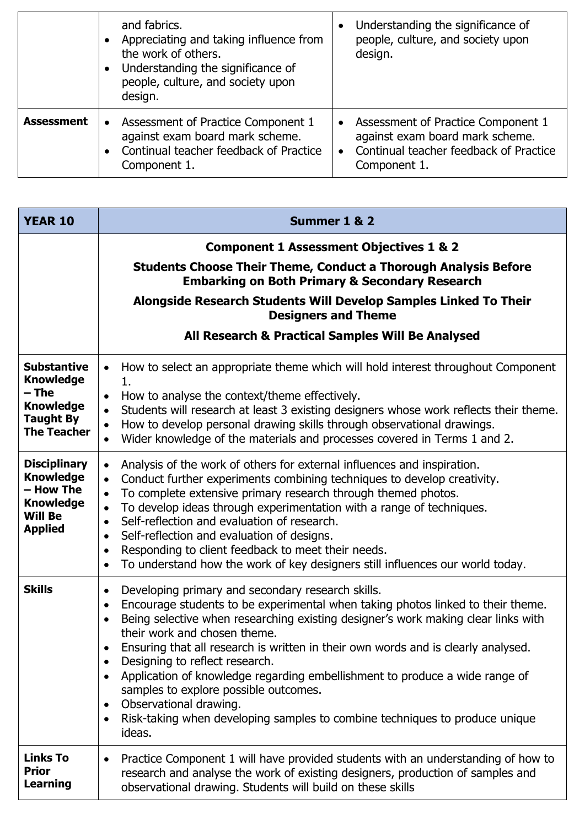|                   | and fabrics.<br>Appreciating and taking influence from<br>the work of others.<br>Understanding the significance of<br>$\bullet$<br>people, culture, and society upon<br>design. | Understanding the significance of<br>people, culture, and society upon<br>design.                                                 |
|-------------------|---------------------------------------------------------------------------------------------------------------------------------------------------------------------------------|-----------------------------------------------------------------------------------------------------------------------------------|
| <b>Assessment</b> | Assessment of Practice Component 1<br>$\bullet$<br>against exam board mark scheme.<br>Continual teacher feedback of Practice<br>Component 1.                                    | • Assessment of Practice Component 1<br>against exam board mark scheme.<br>Continual teacher feedback of Practice<br>Component 1. |

| <b>YEAR 10</b>                                                                                                | Summer 1 & 2                                                                                                                                                                                                                                                                                                                                                                                                                                                                                                                                                                                                                                                                                                           |
|---------------------------------------------------------------------------------------------------------------|------------------------------------------------------------------------------------------------------------------------------------------------------------------------------------------------------------------------------------------------------------------------------------------------------------------------------------------------------------------------------------------------------------------------------------------------------------------------------------------------------------------------------------------------------------------------------------------------------------------------------------------------------------------------------------------------------------------------|
|                                                                                                               | <b>Component 1 Assessment Objectives 1 &amp; 2</b><br><b>Students Choose Their Theme, Conduct a Thorough Analysis Before</b>                                                                                                                                                                                                                                                                                                                                                                                                                                                                                                                                                                                           |
|                                                                                                               | <b>Embarking on Both Primary &amp; Secondary Research</b>                                                                                                                                                                                                                                                                                                                                                                                                                                                                                                                                                                                                                                                              |
|                                                                                                               | Alongside Research Students Will Develop Samples Linked To Their<br><b>Designers and Theme</b>                                                                                                                                                                                                                                                                                                                                                                                                                                                                                                                                                                                                                         |
|                                                                                                               | All Research & Practical Samples Will Be Analysed                                                                                                                                                                                                                                                                                                                                                                                                                                                                                                                                                                                                                                                                      |
| <b>Substantive</b><br><b>Knowledge</b><br>– The<br><b>Knowledge</b><br><b>Taught By</b><br><b>The Teacher</b> | How to select an appropriate theme which will hold interest throughout Component<br>$\bullet$<br>1.<br>How to analyse the context/theme effectively.<br>$\bullet$<br>Students will research at least 3 existing designers whose work reflects their theme.<br>$\bullet$<br>How to develop personal drawing skills through observational drawings.<br>$\bullet$<br>Wider knowledge of the materials and processes covered in Terms 1 and 2.<br>$\bullet$                                                                                                                                                                                                                                                                |
| <b>Disciplinary</b><br><b>Knowledge</b><br>- How The<br><b>Knowledge</b><br><b>Will Be</b><br><b>Applied</b>  | Analysis of the work of others for external influences and inspiration.<br>$\bullet$<br>Conduct further experiments combining techniques to develop creativity.<br>$\bullet$<br>To complete extensive primary research through themed photos.<br>$\bullet$<br>To develop ideas through experimentation with a range of techniques.<br>$\bullet$<br>Self-reflection and evaluation of research.<br>$\bullet$<br>Self-reflection and evaluation of designs.<br>$\bullet$<br>Responding to client feedback to meet their needs.<br>$\bullet$<br>To understand how the work of key designers still influences our world today.<br>$\bullet$                                                                                |
| <b>Skills</b>                                                                                                 | Developing primary and secondary research skills.<br>$\bullet$<br>Encourage students to be experimental when taking photos linked to their theme.<br>$\bullet$<br>Being selective when researching existing designer's work making clear links with<br>$\bullet$<br>their work and chosen theme.<br>Ensuring that all research is written in their own words and is clearly analysed.<br>Designing to reflect research.<br>$\bullet$<br>Application of knowledge regarding embellishment to produce a wide range of<br>$\bullet$<br>samples to explore possible outcomes.<br>Observational drawing.<br>$\bullet$<br>Risk-taking when developing samples to combine techniques to produce unique<br>$\bullet$<br>ideas. |
| <b>Links To</b><br><b>Prior</b><br><b>Learning</b>                                                            | Practice Component 1 will have provided students with an understanding of how to<br>research and analyse the work of existing designers, production of samples and<br>observational drawing. Students will build on these skills                                                                                                                                                                                                                                                                                                                                                                                                                                                                                       |